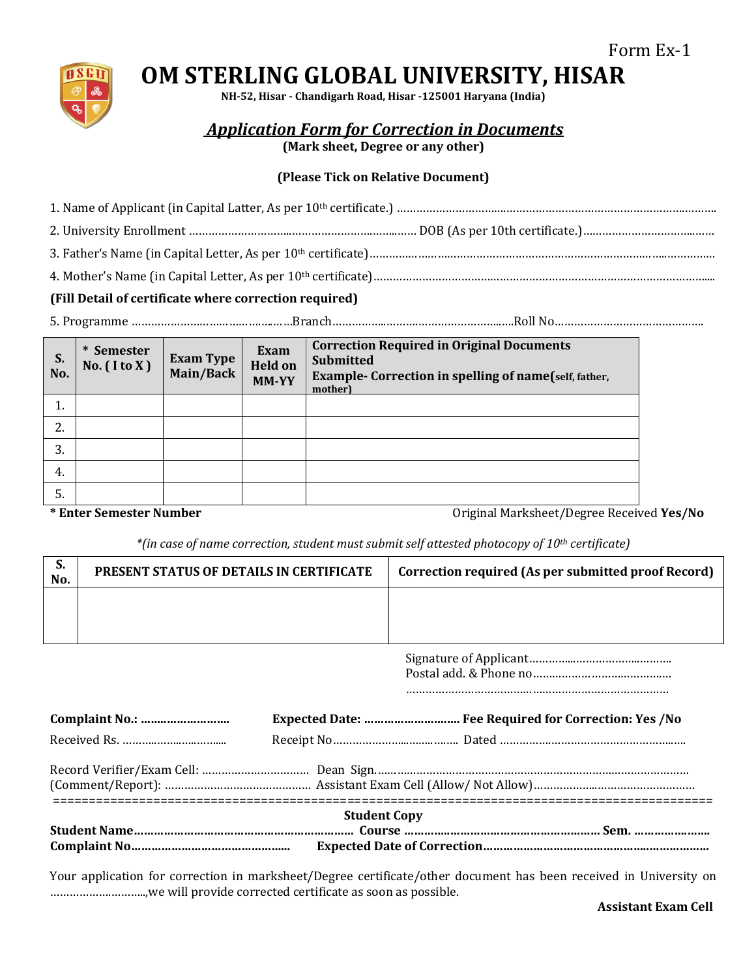

## **OM STERLING GLOBAL UNIVERSITY, HISAR**

**NH-52, Hisar - Chandigarh Road, Hisar -125001 Haryana (India)**

*Application Form for Correction in Documents*

**(Mark sheet, Degree or any other)**

## **(Please Tick on Relative Document)**

## **(Fill Detail of certificate where correction required)**

5. Programme ………………………………….….……Branch……………..……….……………………..….Roll No……………………………………….

| S.<br>No. | * Semester<br>No. $($ I to X $)$ | <b>Exam Type</b><br>Main/Back | <b>Exam</b><br><b>Held on</b><br>MM-YY | <b>Correction Required in Original Documents</b><br><b>Submitted</b><br><b>Example- Correction in spelling of name</b> (self, father,<br>mother) |
|-----------|----------------------------------|-------------------------------|----------------------------------------|--------------------------------------------------------------------------------------------------------------------------------------------------|
| 1.        |                                  |                               |                                        |                                                                                                                                                  |
| 2.        |                                  |                               |                                        |                                                                                                                                                  |
| 3.        |                                  |                               |                                        |                                                                                                                                                  |
| 4.        |                                  |                               |                                        |                                                                                                                                                  |
| 5.        |                                  |                               |                                        |                                                                                                                                                  |

**\* Enter Semester Number** Original Marksheet/Degree Received **Yes/No**

*\*(in case of name correction, student must submit self attested photocopy of 10th certificate)*

| ა.<br>No. | <b>PRESENT STATUS OF DETAILS IN CERTIFICATE</b> | Correction required (As per submitted proof Record) |
|-----------|-------------------------------------------------|-----------------------------------------------------|
|           |                                                 |                                                     |
|           |                                                 |                                                     |

Signature of Applicant…………...………………..………. Postal add. & Phone no………………………………….…

………………………………………………………………………

| <b>Student Copy</b> |  |
|---------------------|--|
|                     |  |

Your application for correction in marksheet/Degree certificate/other document has been received in University on ……………….………..,we will provide corrected certificate as soon as possible.

 **Assistant Exam Cell**